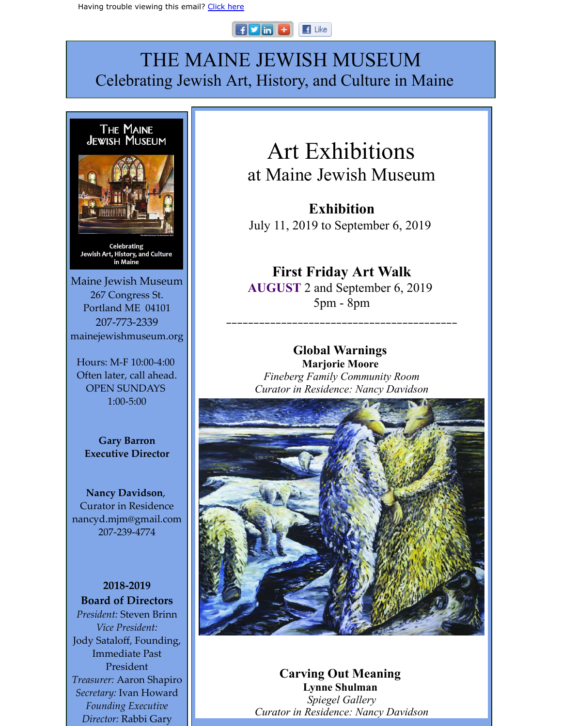#### $F$   $F$   $F$  $\mathbf{F}$  Like

# THE MAINE JEWISH MUSEUM Celebrating Jewish Art, History, and Culture in Maine



**Nancy Davidson**, Curator in Residence nancyd.mjm@gmail.com 207-239-4774

**2018-2019 Board of Directors** *President:* Steven Brinn *Vice President:* Jody Sataloff, Founding, Immediate Past President *Treasurer:* Aaron Shapiro *Secretary:* Ivan Howard *Founding Executive Director:* Rabbi Gary

# Art Exhibitions at Maine Jewish Museum

**Exhibition** July 11, 2019 to September 6, 2019

**First Friday Art Walk AUGUST** 2 and September 6, 2019 5pm - 8pm

## **Global Warnings**

\_\_\_\_\_\_\_\_\_\_\_\_\_\_\_\_\_\_\_\_\_\_\_\_\_\_\_\_\_\_\_\_\_\_\_\_\_\_\_\_\_\_

**Marjorie Moore**  *Fineberg Family Community Room Curator in Residence: Nancy Davidson*



**Carving Out Meaning Lynne Shulman** *Spiegel Gallery Curator in Residence: Nancy Davidson*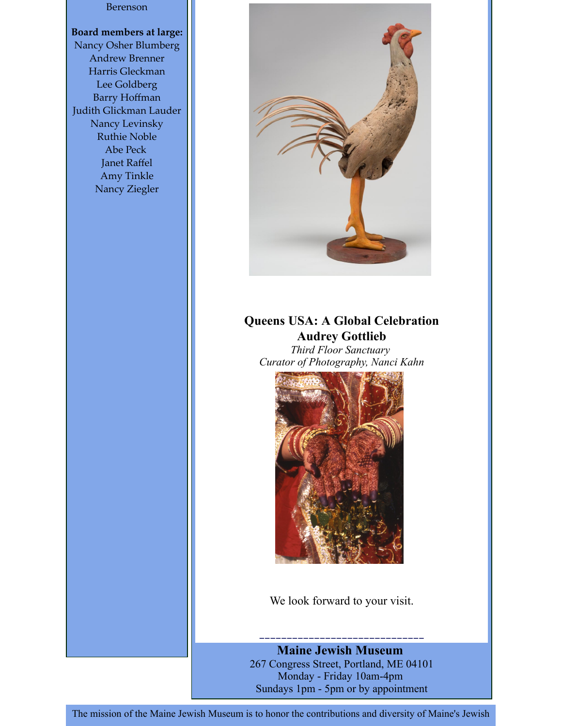#### Berenson

**Board members at large:** Nancy Osher Blumberg Andrew Brenner Harris Gleckman Lee Goldberg Barry Hoffman Judith Glickman Lauder Nancy Levinsky Ruthie Noble Abe Peck Janet Raffel Amy Tinkle Nancy Ziegler



## **Queens USA: A Global Celebration Audrey Gottlieb**

*Third Floor Sanctuary Curator of Photography, Nanci Kahn*



We look forward to your visit.

### \_\_\_\_\_\_\_\_\_\_\_\_\_\_\_\_\_\_\_\_\_\_\_\_\_\_\_\_\_\_ **Maine Jewish Museum**

267 Congress Street, Portland, ME 04101 Monday - Friday 10am-4pm Sundays 1pm - 5pm or by appointment

The mission of the Maine Jewish Museum is to honor the contributions and diversity of Maine's Jewish